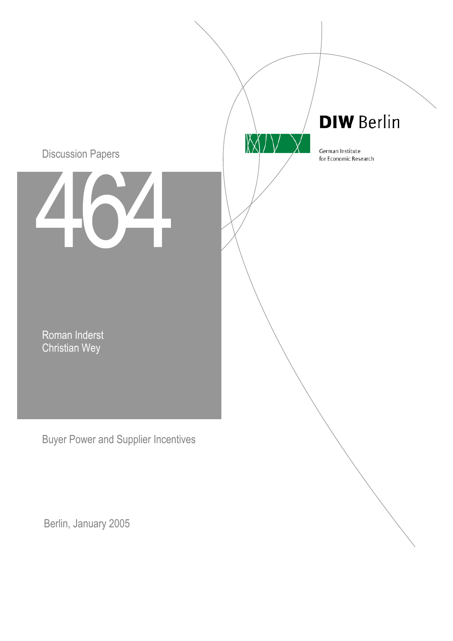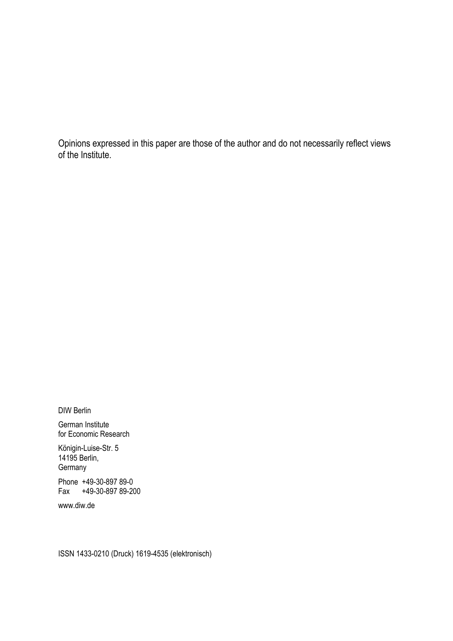Opinions expressed in this paper are those of the author and do not necessarily reflect views of the Institute.

DIW Berlin

German Institute for Economic Research

Königin-Luise-Str. 5 14195 Berlin, **Germany** 

Phone +49-30-897 89-0 Fax +49-30-897 89-200

www.diw.de

ISSN 1433-0210 (Druck) 1619-4535 (elektronisch)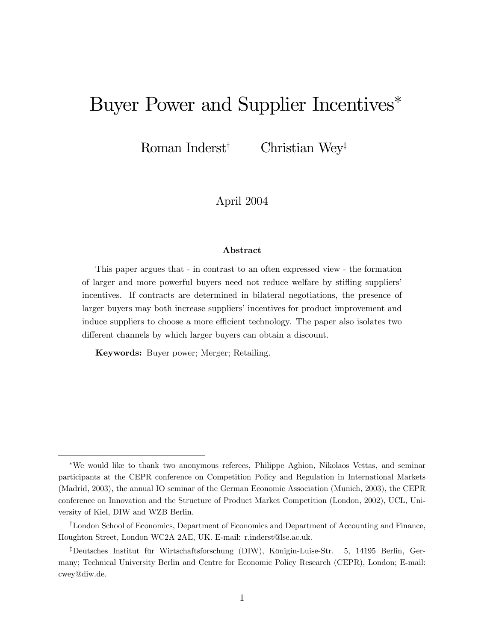# Buyer Power and Supplier Incentives

Roman Inderst<sup>†</sup> Christian Wey<sup>‡</sup>

April 2004

#### Abstract

This paper argues that - in contrast to an often expressed view - the formation of larger and more powerful buyers need not reduce welfare by stifling suppliers' incentives. If contracts are determined in bilateral negotiations, the presence of larger buyers may both increase suppliers' incentives for product improvement and induce suppliers to choose a more efficient technology. The paper also isolates two different channels by which larger buyers can obtain a discount.

Keywords: Buyer power; Merger; Retailing.

We would like to thank two anonymous referees, Philippe Aghion, Nikolaos Vettas, and seminar participants at the CEPR conference on Competition Policy and Regulation in International Markets (Madrid, 2003), the annual IO seminar of the German Economic Association (Munich, 2003), the CEPR conference on Innovation and the Structure of Product Market Competition (London, 2002), UCL, University of Kiel, DIW and WZB Berlin.

<sup>&</sup>lt;sup>†</sup>London School of Economics, Department of Economics and Department of Accounting and Finance, Houghton Street, London WC2A 2AE, UK. E-mail: r.inderst@lse.ac.uk.

<sup>&</sup>lt;sup>‡</sup>Deutsches Institut für Wirtschaftsforschung (DIW), Königin-Luise-Str. 5, 14195 Berlin, Germany; Technical University Berlin and Centre for Economic Policy Research (CEPR), London; E-mail: cwey@diw.de.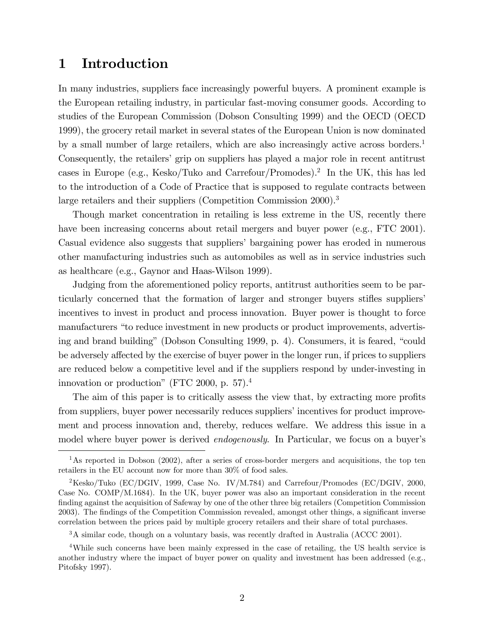# 1 Introduction

In many industries, suppliers face increasingly powerful buyers. A prominent example is the European retailing industry, in particular fast-moving consumer goods. According to studies of the European Commission (Dobson Consulting 1999) and the OECD (OECD 1999), the grocery retail market in several states of the European Union is now dominated by a small number of large retailers, which are also increasingly active across borders.<sup>1</sup> Consequently, the retailers' grip on suppliers has played a major role in recent antitrust cases in Europe (e.g., Kesko/Tuko and Carrefour/Promodes).<sup>2</sup> In the UK, this has led to the introduction of a Code of Practice that is supposed to regulate contracts between large retailers and their suppliers (Competition Commission 2000).<sup>3</sup>

Though market concentration in retailing is less extreme in the US, recently there have been increasing concerns about retail mergers and buyer power (e.g., FTC 2001). Casual evidence also suggests that suppliers' bargaining power has eroded in numerous other manufacturing industries such as automobiles as well as in service industries such as healthcare (e.g., Gaynor and Haas-Wilson 1999).

Judging from the aforementioned policy reports, antitrust authorities seem to be particularly concerned that the formation of larger and stronger buyers stifles suppliers incentives to invest in product and process innovation. Buyer power is thought to force manufacturers "to reduce investment in new products or product improvements, advertising and brand building" (Dobson Consulting 1999, p. 4). Consumers, it is feared, "could be adversely affected by the exercise of buyer power in the longer run, if prices to suppliers are reduced below a competitive level and if the suppliers respond by under-investing in innovation or production" (FTC 2000, p.  $57$ ).<sup>4</sup>

The aim of this paper is to critically assess the view that, by extracting more profits from suppliers, buyer power necessarily reduces suppliers' incentives for product improvement and process innovation and, thereby, reduces welfare. We address this issue in a model where buyer power is derived *endogenously*. In Particular, we focus on a buyer's

<sup>&</sup>lt;sup>1</sup>As reported in Dobson (2002), after a series of cross-border mergers and acquisitions, the top ten retailers in the EU account now for more than 30% of food sales.

<sup>&</sup>lt;sup>2</sup>Kesko/Tuko (EC/DGIV, 1999, Case No. IV/M.784) and Carrefour/Promodes (EC/DGIV, 2000, Case No. COMP/M.1684). In the UK, buyer power was also an important consideration in the recent finding against the acquisition of Safeway by one of the other three big retailers (Competition Commission 2003). The findings of the Competition Commission revealed, amongst other things, a significant inverse correlation between the prices paid by multiple grocery retailers and their share of total purchases.

<sup>&</sup>lt;sup>3</sup>A similar code, though on a voluntary basis, was recently drafted in Australia (ACCC 2001).

<sup>&</sup>lt;sup>4</sup>While such concerns have been mainly expressed in the case of retailing, the US health service is another industry where the impact of buyer power on quality and investment has been addressed (e.g., Pitofsky 1997).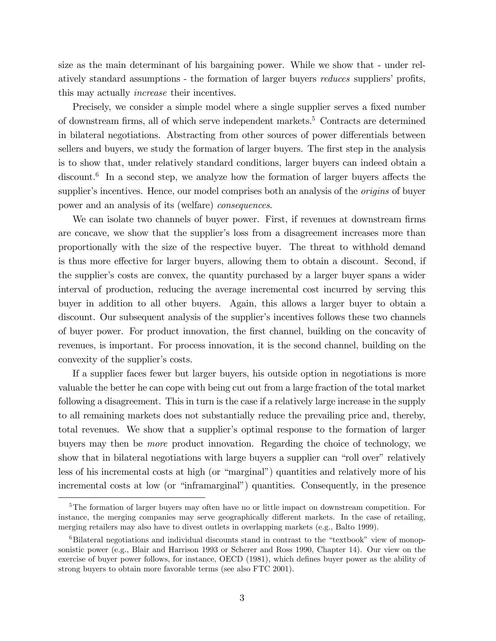size as the main determinant of his bargaining power. While we show that - under relatively standard assumptions - the formation of larger buyers *reduces* suppliers' profits, this may actually increase their incentives.

Precisely, we consider a simple model where a single supplier serves a fixed number of downstream firms, all of which serve independent markets.<sup>5</sup> Contracts are determined in bilateral negotiations. Abstracting from other sources of power differentials between sellers and buyers, we study the formation of larger buyers. The first step in the analysis is to show that, under relatively standard conditions, larger buyers can indeed obtain a discount.<sup>6</sup> In a second step, we analyze how the formation of larger buyers affects the supplier's incentives. Hence, our model comprises both an analysis of the *origins* of buyer power and an analysis of its (welfare) consequences.

We can isolate two channels of buyer power. First, if revenues at downstream firms are concave, we show that the supplier's loss from a disagreement increases more than proportionally with the size of the respective buyer. The threat to withhold demand is thus more effective for larger buyers, allowing them to obtain a discount. Second, if the supplierís costs are convex, the quantity purchased by a larger buyer spans a wider interval of production, reducing the average incremental cost incurred by serving this buyer in addition to all other buyers. Again, this allows a larger buyer to obtain a discount. Our subsequent analysis of the supplier's incentives follows these two channels of buyer power. For product innovation, the Örst channel, building on the concavity of revenues, is important. For process innovation, it is the second channel, building on the convexity of the supplier's costs.

If a supplier faces fewer but larger buyers, his outside option in negotiations is more valuable the better he can cope with being cut out from a large fraction of the total market following a disagreement. This in turn is the case if a relatively large increase in the supply to all remaining markets does not substantially reduce the prevailing price and, thereby, total revenues. We show that a supplier's optimal response to the formation of larger buyers may then be more product innovation. Regarding the choice of technology, we show that in bilateral negotiations with large buyers a supplier can "roll over" relatively less of his incremental costs at high (or "marginal") quantities and relatively more of his incremental costs at low (or "inframarginal") quantities. Consequently, in the presence

<sup>&</sup>lt;sup>5</sup>The formation of larger buyers may often have no or little impact on downstream competition. For instance, the merging companies may serve geographically different markets. In the case of retailing, merging retailers may also have to divest outlets in overlapping markets (e.g., Balto 1999).

 ${}^{6}$ Bilateral negotiations and individual discounts stand in contrast to the "textbook" view of monopsonistic power (e.g., Blair and Harrison 1993 or Scherer and Ross 1990, Chapter 14). Our view on the exercise of buyer power follows, for instance, OECD (1981), which defines buyer power as the ability of strong buyers to obtain more favorable terms (see also FTC 2001).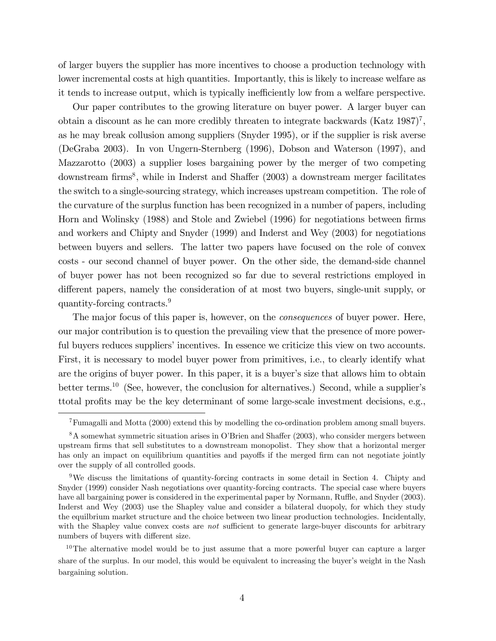of larger buyers the supplier has more incentives to choose a production technology with lower incremental costs at high quantities. Importantly, this is likely to increase welfare as it tends to increase output, which is typically inefficiently low from a welfare perspective.

Our paper contributes to the growing literature on buyer power. A larger buyer can obtain a discount as he can more credibly threaten to integrate backwards  $(Katz 1987)^7$ , as he may break collusion among suppliers (Snyder 1995), or if the supplier is risk averse (DeGraba 2003). In von Ungern-Sternberg (1996), Dobson and Waterson (1997), and Mazzarotto (2003) a supplier loses bargaining power by the merger of two competing downstream firms<sup>8</sup>, while in Inderst and Shaffer (2003) a downstream merger facilitates the switch to a single-sourcing strategy, which increases upstream competition. The role of the curvature of the surplus function has been recognized in a number of papers, including Horn and Wolinsky (1988) and Stole and Zwiebel (1996) for negotiations between firms and workers and Chipty and Snyder (1999) and Inderst and Wey (2003) for negotiations between buyers and sellers. The latter two papers have focused on the role of convex costs - our second channel of buyer power. On the other side, the demand-side channel of buyer power has not been recognized so far due to several restrictions employed in different papers, namely the consideration of at most two buyers, single-unit supply, or quantity-forcing contracts.<sup>9</sup>

The major focus of this paper is, however, on the *consequences* of buyer power. Here, our major contribution is to question the prevailing view that the presence of more powerful buyers reduces suppliers' incentives. In essence we criticize this view on two accounts. First, it is necessary to model buyer power from primitives, i.e., to clearly identify what are the origins of buyer power. In this paper, it is a buyer's size that allows him to obtain better terms.<sup>10</sup> (See, however, the conclusion for alternatives.) Second, while a supplier's ttotal profits may be the key determinant of some large-scale investment decisions, e.g.,

<sup>7</sup>Fumagalli and Motta (2000) extend this by modelling the co-ordination problem among small buyers.

 $8A$  somewhat symmetric situation arises in O'Brien and Shaffer (2003), who consider mergers between upstream Örms that sell substitutes to a downstream monopolist. They show that a horizontal merger has only an impact on equilibrium quantities and payoffs if the merged firm can not negotiate jointly over the supply of all controlled goods.

<sup>9</sup>We discuss the limitations of quantity-forcing contracts in some detail in Section 4. Chipty and Snyder (1999) consider Nash negotiations over quantity-forcing contracts. The special case where buyers have all bargaining power is considered in the experimental paper by Normann, Ruffle, and Snyder (2003). Inderst and Wey (2003) use the Shapley value and consider a bilateral duopoly, for which they study the equilbrium market structure and the choice between two linear production technologies. Incidentally, with the Shapley value convex costs are *not* sufficient to generate large-buyer discounts for arbitrary numbers of buyers with different size.

<sup>&</sup>lt;sup>10</sup>The alternative model would be to just assume that a more powerful buyer can capture a larger share of the surplus. In our model, this would be equivalent to increasing the buyer's weight in the Nash bargaining solution.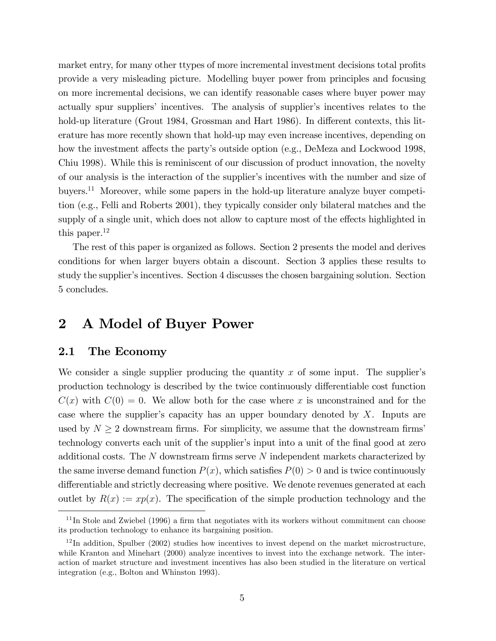market entry, for many other ttypes of more incremental investment decisions total profits provide a very misleading picture. Modelling buyer power from principles and focusing on more incremental decisions, we can identify reasonable cases where buyer power may actually spur suppliers' incentives. The analysis of supplier's incentives relates to the hold-up literature (Grout 1984, Grossman and Hart 1986). In different contexts, this literature has more recently shown that hold-up may even increase incentives, depending on how the investment affects the party's outside option (e.g., DeMeza and Lockwood 1998, Chiu 1998). While this is reminiscent of our discussion of product innovation, the novelty of our analysis is the interaction of the supplier's incentives with the number and size of buyers.<sup>11</sup> Moreover, while some papers in the hold-up literature analyze buyer competition (e.g., Felli and Roberts 2001), they typically consider only bilateral matches and the supply of a single unit, which does not allow to capture most of the effects highlighted in this paper. $^{12}$ 

The rest of this paper is organized as follows. Section 2 presents the model and derives conditions for when larger buyers obtain a discount. Section 3 applies these results to study the supplier's incentives. Section 4 discusses the chosen bargaining solution. Section 5 concludes.

# 2 A Model of Buyer Power

#### 2.1 The Economy

We consider a single supplier producing the quantity  $x$  of some input. The supplier's production technology is described by the twice continuously differentiable cost function  $C(x)$  with  $C(0) = 0$ . We allow both for the case where x is unconstrained and for the case where the supplier's capacity has an upper boundary denoted by  $X$ . Inputs are used by  $N \geq 2$  downstream firms. For simplicity, we assume that the downstream firms' technology converts each unit of the supplier's input into a unit of the final good at zero additional costs. The  $N$  downstream firms serve  $N$  independent markets characterized by the same inverse demand function  $P(x)$ , which satisfies  $P(0) > 0$  and is twice continuously differentiable and strictly decreasing where positive. We denote revenues generated at each outlet by  $R(x) := xp(x)$ . The specification of the simple production technology and the

 $11$ In Stole and Zwiebel (1996) a firm that negotiates with its workers without commitment can choose its production technology to enhance its bargaining position.

 $12$ In addition, Spulber (2002) studies how incentives to invest depend on the market microstructure, while Kranton and Minehart (2000) analyze incentives to invest into the exchange network. The interaction of market structure and investment incentives has also been studied in the literature on vertical integration (e.g., Bolton and Whinston 1993).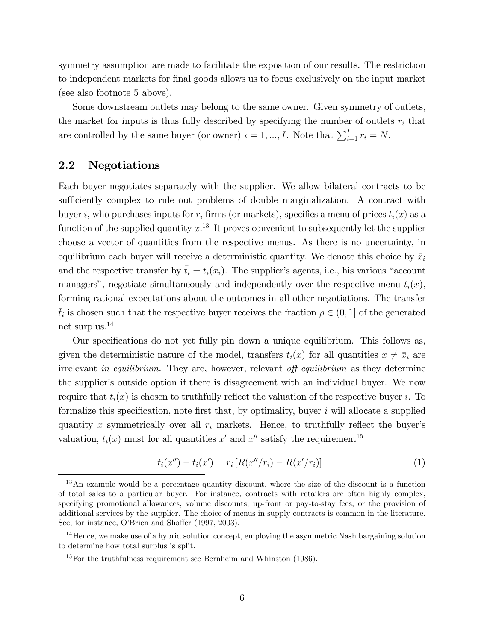symmetry assumption are made to facilitate the exposition of our results. The restriction to independent markets for final goods allows us to focus exclusively on the input market (see also footnote 5 above).

Some downstream outlets may belong to the same owner. Given symmetry of outlets, the market for inputs is thus fully described by specifying the number of outlets  $r_i$  that are controlled by the same buyer (or owner)  $i = 1, ..., I$ . Note that  $\sum_{i=1}^{I} r_i = N$ .

## 2.2 Negotiations

Each buyer negotiates separately with the supplier. We allow bilateral contracts to be sufficiently complex to rule out problems of double marginalization. A contract with buyer i, who purchases inputs for  $r_i$  firms (or markets), specifies a menu of prices  $t_i(x)$  as a function of the supplied quantity  $x<sup>13</sup>$  It proves convenient to subsequently let the supplier choose a vector of quantities from the respective menus. As there is no uncertainty, in equilibrium each buyer will receive a deterministic quantity. We denote this choice by  $\bar{x}_i$ and the respective transfer by  $\bar{t}_i = t_i(\bar{x}_i)$ . The supplier's agents, i.e., his various "account managers", negotiate simultaneously and independently over the respective menu  $t_i(x)$ , forming rational expectations about the outcomes in all other negotiations. The transfer  $\bar{t}_i$  is chosen such that the respective buyer receives the fraction  $\rho \in (0, 1]$  of the generated net surplus.<sup>14</sup>

Our specifications do not yet fully pin down a unique equilibrium. This follows as, given the deterministic nature of the model, transfers  $t_i(x)$  for all quantities  $x \neq \bar{x}_i$  are irrelevant in equilibrium. They are, however, relevant off equilibrium as they determine the supplier's outside option if there is disagreement with an individual buyer. We now require that  $t_i(x)$  is chosen to truthfully reflect the valuation of the respective buyer i. To formalize this specification, note first that, by optimality, buyer  $i$  will allocate a supplied quantity x symmetrically over all  $r_i$  markets. Hence, to truthfully reflect the buyer's valuation,  $t_i(x)$  must for all quantities  $x'$  and  $x''$  satisfy the requirement<sup>15</sup>

$$
t_i(x'') - t_i(x') = r_i \left[ R(x''/r_i) - R(x'/r_i) \right]. \tag{1}
$$

<sup>&</sup>lt;sup>13</sup>An example would be a percentage quantity discount, where the size of the discount is a function of total sales to a particular buyer. For instance, contracts with retailers are often highly complex, specifying promotional allowances, volume discounts, up-front or pay-to-stay fees, or the provision of additional services by the supplier. The choice of menus in supply contracts is common in the literature. See, for instance, O'Brien and Shaffer (1997, 2003).

 $14$  Hence, we make use of a hybrid solution concept, employing the asymmetric Nash bargaining solution to determine how total surplus is split.

<sup>&</sup>lt;sup>15</sup>For the truthfulness requirement see Bernheim and Whinston  $(1986)$ .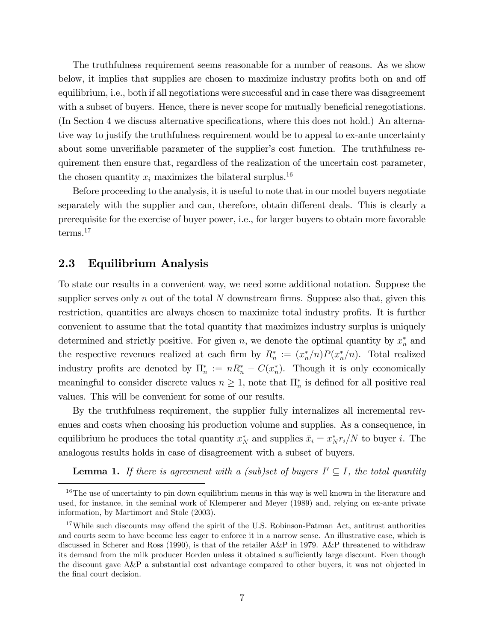The truthfulness requirement seems reasonable for a number of reasons. As we show below, it implies that supplies are chosen to maximize industry profits both on and off equilibrium, i.e., both if all negotiations were successful and in case there was disagreement with a subset of buyers. Hence, there is never scope for mutually beneficial renegotiations. (In Section 4 we discuss alternative specifications, where this does not hold.) An alternative way to justify the truthfulness requirement would be to appeal to ex-ante uncertainty about some unverifiable parameter of the supplier's cost function. The truthfulness requirement then ensure that, regardless of the realization of the uncertain cost parameter, the chosen quantity  $x_i$  maximizes the bilateral surplus.<sup>16</sup>

Before proceeding to the analysis, it is useful to note that in our model buyers negotiate separately with the supplier and can, therefore, obtain different deals. This is clearly a prerequisite for the exercise of buyer power, i.e., for larger buyers to obtain more favorable terms.<sup>17</sup>

### 2.3 Equilibrium Analysis

To state our results in a convenient way, we need some additional notation. Suppose the supplier serves only n out of the total  $N$  downstream firms. Suppose also that, given this restriction, quantities are always chosen to maximize total industry profits. It is further convenient to assume that the total quantity that maximizes industry surplus is uniquely determined and strictly positive. For given  $n$ , we denote the optimal quantity by  $x_n^*$  and the respective revenues realized at each firm by  $R_n^* := (x_n^*/n)P(x_n^*/n)$ . Total realized industry profits are denoted by  $\Pi_n^* := nR_n^* - C(x_n^*)$ . Though it is only economically meaningful to consider discrete values  $n \geq 1$ , note that  $\prod_{n=1}^{\infty}$  is defined for all positive real values. This will be convenient for some of our results.

By the truthfulness requirement, the supplier fully internalizes all incremental revenues and costs when choosing his production volume and supplies. As a consequence, in equilibrium he produces the total quantity  $x_N^*$  and supplies  $\bar{x}_i = x_N^* r_i/N$  to buyer i. The analogous results holds in case of disagreement with a subset of buyers.

**Lemma 1.** If there is agreement with a (sub)set of buyers  $I' \subseteq I$ , the total quantity

<sup>&</sup>lt;sup>16</sup>The use of uncertainty to pin down equilibrium menus in this way is well known in the literature and used, for instance, in the seminal work of Klemperer and Meyer (1989) and, relying on ex-ante private information, by Martimort and Stole (2003).

<sup>&</sup>lt;sup>17</sup>While such discounts may offend the spirit of the U.S. Robinson-Patman Act, antitrust authorities and courts seem to have become less eager to enforce it in a narrow sense. An illustrative case, which is discussed in Scherer and Ross (1990), is that of the retailer A&P in 1979. A&P threatened to withdraw its demand from the milk producer Borden unless it obtained a sufficiently large discount. Even though the discount gave A&P a substantial cost advantage compared to other buyers, it was not objected in the final court decision.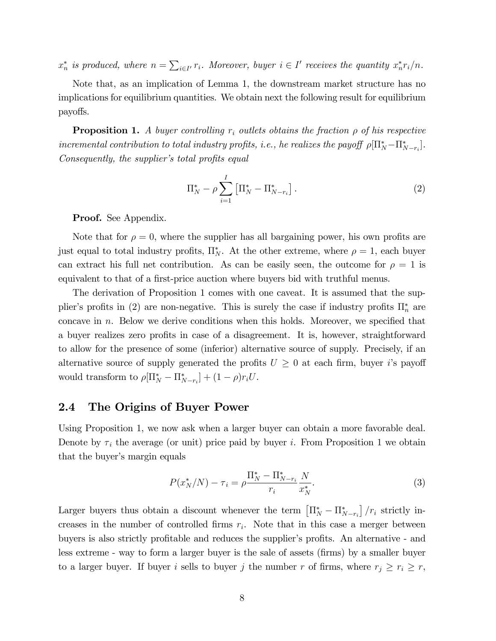$x_n^*$  is produced, where  $n = \sum_{i \in I'} r_i$ . Moreover, buyer  $i \in I'$  receives the quantity  $x_n^* r_i/n$ .

Note that, as an implication of Lemma 1, the downstream market structure has no implications for equilibrium quantities. We obtain next the following result for equilibrium payoffs.

**Proposition 1.** A buyer controlling  $r_i$  outlets obtains the fraction  $\rho$  of his respective incremental contribution to total industry profits, i.e., he realizes the payoff  $\rho[\Pi^*_N - \Pi^*_{N-r_i}]$ . Consequently, the supplier's total profits equal

$$
\Pi_N^* - \rho \sum_{i=1}^I \left[ \Pi_N^* - \Pi_{N-r_i}^* \right]. \tag{2}
$$

Proof. See Appendix.

Note that for  $\rho = 0$ , where the supplier has all bargaining power, his own profits are just equal to total industry profits,  $\Pi_N^*$ . At the other extreme, where  $\rho = 1$ , each buyer can extract his full net contribution. As can be easily seen, the outcome for  $\rho = 1$  is equivalent to that of a first-price auction where buyers bid with truthful menus.

The derivation of Proposition 1 comes with one caveat. It is assumed that the supplier's profits in (2) are non-negative. This is surely the case if industry profits  $\Pi_n^*$  are concave in  $n$ . Below we derive conditions when this holds. Moreover, we specified that a buyer realizes zero profits in case of a disagreement. It is, however, straightforward to allow for the presence of some (inferior) alternative source of supply. Precisely, if an alternative source of supply generated the profits  $U \geq 0$  at each firm, buyer i's payoff would transform to  $\rho[\Pi^*_{N} - \Pi^*_{N-r_i}] + (1 - \rho)r_iU$ .

## 2.4 The Origins of Buyer Power

Using Proposition 1, we now ask when a larger buyer can obtain a more favorable deal. Denote by  $\tau_i$  the average (or unit) price paid by buyer i. From Proposition 1 we obtain that the buyer's margin equals

$$
P(x_N^*/N) - \tau_i = \rho \frac{\Pi_N^* - \Pi_{N-r_i}^*}{r_i} \frac{N}{x_N^*}.
$$
\n(3)

Larger buyers thus obtain a discount whenever the term  $\left[\prod_{N}^{*} - \prod_{N-r_i}^{*}\right] / r_i$  strictly increases in the number of controlled firms  $r_i$ . Note that in this case a merger between buyers is also strictly profitable and reduces the supplier's profits. An alternative - and less extreme - way to form a larger buyer is the sale of assets (Örms) by a smaller buyer to a larger buyer. If buyer i sells to buyer j the number r of firms, where  $r_j \ge r_i \ge r$ ,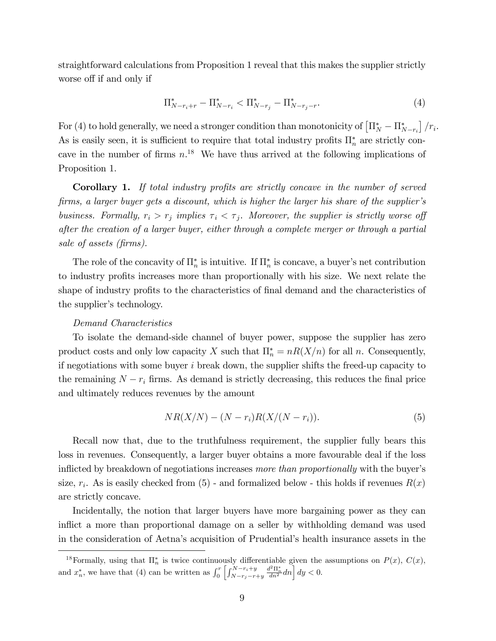straightforward calculations from Proposition 1 reveal that this makes the supplier strictly worse off if and only if

$$
\Pi_{N-r_i+r}^* - \Pi_{N-r_i}^* < \Pi_{N-r_j}^* - \Pi_{N-r_j-r}^*.\tag{4}
$$

For (4) to hold generally, we need a stronger condition than monotonicity of  $\left[\Pi_{N}^{*} - \Pi_{N-r_i}^{*}\right] / r_i$ . As is easily seen, it is sufficient to require that total industry profits  $\prod_{n=1}^{\infty}$  are strictly concave in the number of firms  $n^{18}$ . We have thus arrived at the following implications of Proposition 1.

Corollary 1. If total industry profits are strictly concave in the number of served firms, a larger buyer gets a discount, which is higher the larger his share of the supplier's business. Formally,  $r_i > r_j$  implies  $\tau_i < \tau_j$ . Moreover, the supplier is strictly worse of after the creation of a larger buyer, either through a complete merger or through a partial sale of assets (firms).

The role of the concavity of  $\prod_{n=1}^{\infty}$  is intuitive. If  $\prod_{n=1}^{\infty}$  is concave, a buyer's net contribution to industry profits increases more than proportionally with his size. We next relate the shape of industry profits to the characteristics of final demand and the characteristics of the supplier's technology.

#### Demand Characteristics

To isolate the demand-side channel of buyer power, suppose the supplier has zero product costs and only low capacity X such that  $\prod_{n=1}^* n R(X/n)$  for all n. Consequently, if negotiations with some buyer  $i$  break down, the supplier shifts the freed-up capacity to the remaining  $N - r_i$  firms. As demand is strictly decreasing, this reduces the final price and ultimately reduces revenues by the amount

$$
NR(X/N) - (N - r_i)R(X/(N - r_i)).
$$
\n(5)

Recall now that, due to the truthfulness requirement, the supplier fully bears this loss in revenues. Consequently, a larger buyer obtains a more favourable deal if the loss inflicted by breakdown of negotiations increases more than proportionally with the buyer's size,  $r_i$ . As is easily checked from  $(5)$  - and formalized below - this holds if revenues  $R(x)$ are strictly concave.

Incidentally, the notion that larger buyers have more bargaining power as they can inflict a more than proportional damage on a seller by withholding demand was used in the consideration of Aetna's acquisition of Prudential's health insurance assets in the

<sup>&</sup>lt;sup>18</sup>Formally, using that  $\Pi_n^*$  is twice continuously differentiable given the assumptions on  $P(x)$ ,  $C(x)$ , and  $x_n^*$ , we have that (4) can be written as  $\int_0^r \left[ \int_{N-r_j-r+y}^{N-r_i+y}$  $\frac{d^2\Pi_n^*}{dn^2} dn \Big| dy < 0.$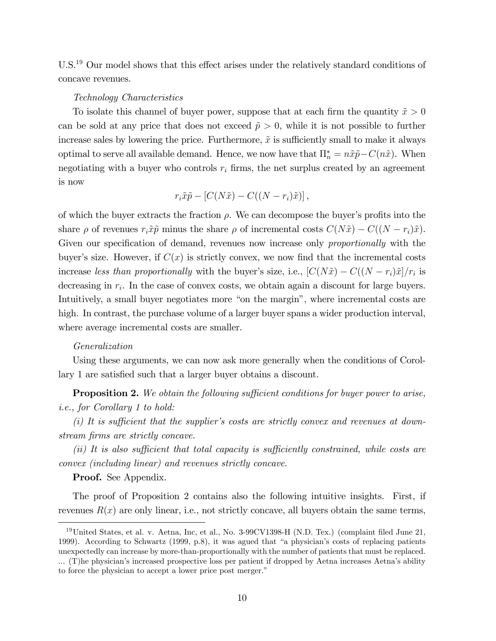$U.S.<sup>19</sup>$  Our model shows that this effect arises under the relatively standard conditions of concave revenues.

#### Technology Characteristics

To isolate this channel of buyer power, suppose that at each firm the quantity  $\tilde{x} > 0$ can be sold at any price that does not exceed  $\tilde{p} > 0$ , while it is not possible to further increase sales by lowering the price. Furthermore,  $\tilde{x}$  is sufficiently small to make it always optimal to serve all available demand. Hence, we now have that  $\Pi_n^* = n\tilde{x}\tilde{p} - C(n\tilde{x})$ . When negotiating with a buyer who controls  $r_i$  firms, the net surplus created by an agreement is now

$$
r_i\tilde{x}\tilde{p} - [C(N\tilde{x}) - C((N - r_i)\tilde{x})],
$$

of which the buyer extracts the fraction  $\rho$ . We can decompose the buyer's profits into the share  $\rho$  of revenues  $r_i\tilde{x}\tilde{p}$  minus the share  $\rho$  of incremental costs  $C(N\tilde{x}) - C((N - r_i)\tilde{x})$ . Given our specification of demand, revenues now increase only proportionally with the buyer's size. However, if  $C(x)$  is strictly convex, we now find that the incremental costs increase less than proportionally with the buyer's size, i.e.,  $[C(N\tilde{x}) - C((N - r_i)\tilde{x}]/r_i$  is decreasing in  $r_i$ . In the case of convex costs, we obtain again a discount for large buyers. Intuitively, a small buyer negotiates more "on the margin", where incremental costs are high. In contrast, the purchase volume of a larger buyer spans a wider production interval, where average incremental costs are smaller.

#### Generalization

Using these arguments, we can now ask more generally when the conditions of Corollary 1 are satisfied such that a larger buyer obtains a discount.

**Proposition 2.** We obtain the following sufficient conditions for buyer power to arise, i.e., for Corollary 1 to hold:

(i) It is sufficient that the supplier's costs are strictly convex and revenues at downstream firms are strictly concave.

 $(ii)$  It is also sufficient that total capacity is sufficiently constrained, while costs are convex (including linear) and revenues strictly concave.

Proof. See Appendix.

The proof of Proposition 2 contains also the following intuitive insights. First, if revenues  $R(x)$  are only linear, i.e., not strictly concave, all buyers obtain the same terms,

 $19$ United States, et al. v. Aetna, Inc, et al., No. 3-99CV1398-H (N.D. Tex.) (complaint filed June 21, 1999). According to Schwartz (1999, p.8), it was agued that "a physician's costs of replacing patients unexpectedly can increase by more-than-proportionally with the number of patients that must be replaced. ... (T)he physicianís increased prospective loss per patient if dropped by Aetna increases Aetnaís ability to force the physician to accept a lower price post merger."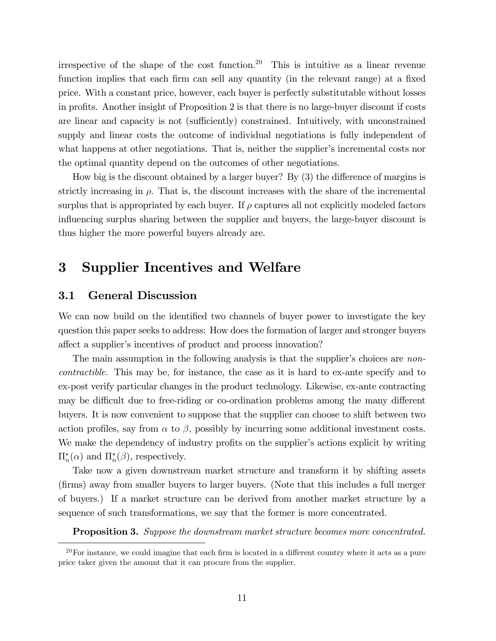irrespective of the shape of the cost function.<sup>20</sup> This is intuitive as a linear revenue function implies that each firm can sell any quantity (in the relevant range) at a fixed price. With a constant price, however, each buyer is perfectly substitutable without losses in profits. Another insight of Proposition 2 is that there is no large-buyer discount if costs are linear and capacity is not (sufficiently) constrained. Intuitively, with unconstrained supply and linear costs the outcome of individual negotiations is fully independent of what happens at other negotiations. That is, neither the supplier's incremental costs nor the optimal quantity depend on the outcomes of other negotiations.

How big is the discount obtained by a larger buyer? By  $(3)$  the difference of margins is strictly increasing in  $\rho$ . That is, the discount increases with the share of the incremental surplus that is appropriated by each buyer. If  $\rho$  captures all not explicitly modeled factors influencing surplus sharing between the supplier and buyers, the large-buyer discount is thus higher the more powerful buyers already are.

# 3 Supplier Incentives and Welfare

### 3.1 General Discussion

We can now build on the identified two channels of buyer power to investigate the key question this paper seeks to address: How does the formation of larger and stronger buyers affect a supplier's incentives of product and process innovation?

The main assumption in the following analysis is that the supplier's choices are *non*contractible. This may be, for instance, the case as it is hard to ex-ante specify and to ex-post verify particular changes in the product technology. Likewise, ex-ante contracting may be difficult due to free-riding or co-ordination problems among the many different buyers. It is now convenient to suppose that the supplier can choose to shift between two action profiles, say from  $\alpha$  to  $\beta$ , possibly by incurring some additional investment costs. We make the dependency of industry profits on the supplier's actions explicit by writing  $\Pi_n^*(\alpha)$  and  $\Pi_n^*(\beta)$ , respectively.

Take now a given downstream market structure and transform it by shifting assets (Örms) away from smaller buyers to larger buyers. (Note that this includes a full merger of buyers.) If a market structure can be derived from another market structure by a sequence of such transformations, we say that the former is more concentrated.

**Proposition 3.** Suppose the downstream market structure becomes more concentrated.

 $20$ For instance, we could imagine that each firm is located in a different country where it acts as a pure price taker given the amount that it can procure from the supplier.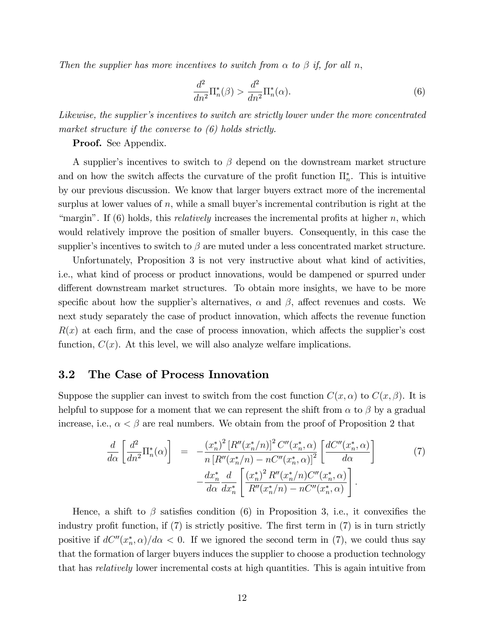Then the supplier has more incentives to switch from  $\alpha$  to  $\beta$  if, for all n,

$$
\frac{d^2}{dn^2}\Pi_n^*(\beta) > \frac{d^2}{dn^2}\Pi_n^*(\alpha). \tag{6}
$$

Likewise, the supplier's incentives to switch are strictly lower under the more concentrated market structure if the converse to  $(6)$  holds strictly.

Proof. See Appendix.

A supplier's incentives to switch to  $\beta$  depend on the downstream market structure and on how the switch affects the curvature of the profit function  $\prod_{n=1}^{\infty}$ . This is intuitive by our previous discussion. We know that larger buyers extract more of the incremental surplus at lower values of  $n$ , while a small buyer's incremental contribution is right at the "margin". If  $(6)$  holds, this *relatively* increases the incremental profits at higher n, which would relatively improve the position of smaller buyers. Consequently, in this case the supplier's incentives to switch to  $\beta$  are muted under a less concentrated market structure.

Unfortunately, Proposition 3 is not very instructive about what kind of activities, i.e., what kind of process or product innovations, would be dampened or spurred under different downstream market structures. To obtain more insights, we have to be more specific about how the supplier's alternatives,  $\alpha$  and  $\beta$ , affect revenues and costs. We next study separately the case of product innovation, which affects the revenue function  $R(x)$  at each firm, and the case of process innovation, which affects the supplier's cost function,  $C(x)$ . At this level, we will also analyze welfare implications.

### 3.2 The Case of Process Innovation

Suppose the supplier can invest to switch from the cost function  $C(x, \alpha)$  to  $C(x, \beta)$ . It is helpful to suppose for a moment that we can represent the shift from  $\alpha$  to  $\beta$  by a gradual increase, i.e.,  $\alpha < \beta$  are real numbers. We obtain from the proof of Proposition 2 that

$$
\frac{d}{d\alpha} \left[ \frac{d^2}{dn^2} \Pi_n^*(\alpha) \right] = -\frac{(x_n^*)^2 \left[ R''(x_n^*/n) \right]^2 C''(x_n^*, \alpha)}{n \left[ R''(x_n^*/n) - nC''(x_n^*, \alpha) \right]^2} \left[ \frac{dC''(x_n^*, \alpha)}{d\alpha} \right] -\frac{dx_n^*}{d\alpha} \frac{d}{dx_n^*} \left[ \frac{(x_n^*)^2 R''(x_n^*/n) C''(x_n^*, \alpha)}{R''(x_n^*/n) - nC''(x_n^*, \alpha)} \right].
$$
\n(7)

Hence, a shift to  $\beta$  satisfies condition (6) in Proposition 3, i.e., it convexifies the industry profit function, if  $(7)$  is strictly positive. The first term in  $(7)$  is in turn strictly positive if  $dC''(x_n^*, \alpha)/d\alpha < 0$ . If we ignored the second term in (7), we could thus say that the formation of larger buyers induces the supplier to choose a production technology that has relatively lower incremental costs at high quantities. This is again intuitive from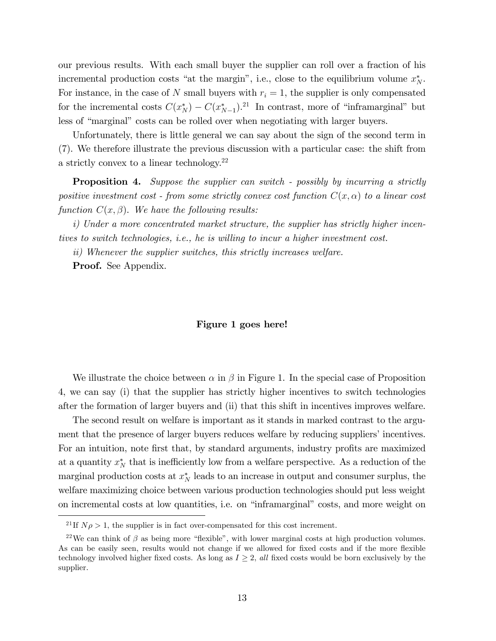our previous results. With each small buyer the supplier can roll over a fraction of his incremental production costs "at the margin", i.e., close to the equilibrium volume  $x_N^*$ . For instance, in the case of N small buyers with  $r_i = 1$ , the supplier is only compensated for the incremental costs  $C(x_N^*) - C(x_{N-1}^*)$ .<sup>21</sup> In contrast, more of "inframarginal" but less of "marginal" costs can be rolled over when negotiating with larger buyers.

Unfortunately, there is little general we can say about the sign of the second term in (7). We therefore illustrate the previous discussion with a particular case: the shift from a strictly convex to a linear technology.<sup>22</sup>

**Proposition 4.** Suppose the supplier can switch - possibly by incurring a strictly positive investment cost - from some strictly convex cost function  $C(x, \alpha)$  to a linear cost function  $C(x, \beta)$ . We have the following results:

i) Under a more concentrated market structure, the supplier has strictly higher incentives to switch technologies, i.e., he is willing to incur a higher investment cost.

ii) Whenever the supplier switches, this strictly increases welfare.

Proof. See Appendix.

#### Figure 1 goes here!

We illustrate the choice between  $\alpha$  in  $\beta$  in Figure 1. In the special case of Proposition 4, we can say (i) that the supplier has strictly higher incentives to switch technologies after the formation of larger buyers and (ii) that this shift in incentives improves welfare.

The second result on welfare is important as it stands in marked contrast to the argument that the presence of larger buyers reduces welfare by reducing suppliers' incentives. For an intuition, note first that, by standard arguments, industry profits are maximized at a quantity  $x_N^*$  that is inefficiently low from a welfare perspective. As a reduction of the marginal production costs at  $x_N^*$  leads to an increase in output and consumer surplus, the welfare maximizing choice between various production technologies should put less weight on incremental costs at low quantities, i.e. on "inframarginal" costs, and more weight on

<sup>&</sup>lt;sup>21</sup> If  $N\rho > 1$ , the supplier is in fact over-compensated for this cost increment.

 $22$ We can think of  $\beta$  as being more "flexible", with lower marginal costs at high production volumes. As can be easily seen, results would not change if we allowed for fixed costs and if the more flexible technology involved higher fixed costs. As long as  $I \geq 2$ , all fixed costs would be born exclusively by the supplier.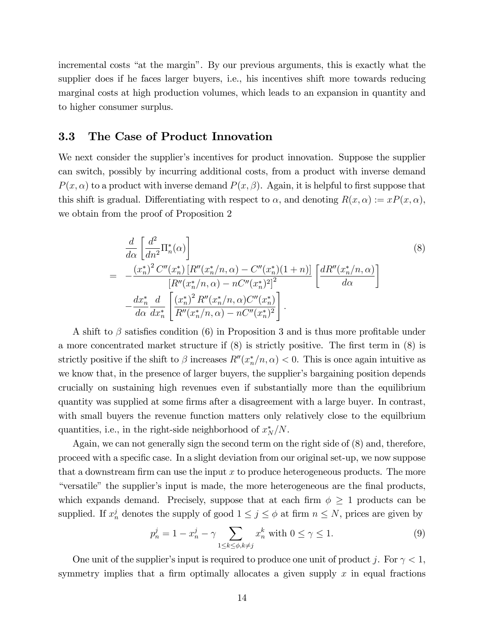incremental costs "at the margin". By our previous arguments, this is exactly what the supplier does if he faces larger buyers, i.e., his incentives shift more towards reducing marginal costs at high production volumes, which leads to an expansion in quantity and to higher consumer surplus.

## 3.3 The Case of Product Innovation

We next consider the supplier's incentives for product innovation. Suppose the supplier can switch, possibly by incurring additional costs, from a product with inverse demand  $P(x, \alpha)$  to a product with inverse demand  $P(x, \beta)$ . Again, it is helpful to first suppose that this shift is gradual. Differentiating with respect to  $\alpha$ , and denoting  $R(x, \alpha) := xP(x, \alpha)$ , we obtain from the proof of Proposition 2

$$
\frac{d}{d\alpha} \left[ \frac{d^2}{dn^2} \Pi_n^*(\alpha) \right]
$$
\n
$$
= -\frac{(x_n^*)^2 C''(x_n^*) \left[ R''(x_n^*/n, \alpha) - C''(x_n^*)(1+n) \right]}{\left[ R''(x_n^*/n, \alpha) - nC''(x_n^*)^2 \right]^2} \left[ \frac{dR''(x_n^*/n, \alpha)}{d\alpha} \right]
$$
\n
$$
- \frac{dx_n^*}{d\alpha} \frac{d}{dx_n^*} \left[ \frac{(x_n^*)^2 R''(x_n^*/n, \alpha) C''(x_n^*)}{R''(x_n^*/n, \alpha) - nC''(x_n^*)^2} \right].
$$
\n(8)

A shift to  $\beta$  satisfies condition (6) in Proposition 3 and is thus more profitable under a more concentrated market structure if  $(8)$  is strictly positive. The first term in  $(8)$  is strictly positive if the shift to  $\beta$  increases  $R''(x_n^*/n, \alpha) < 0$ . This is once again intuitive as we know that, in the presence of larger buyers, the supplier's bargaining position depends crucially on sustaining high revenues even if substantially more than the equilibrium quantity was supplied at some firms after a disagreement with a large buyer. In contrast, with small buyers the revenue function matters only relatively close to the equilbrium quantities, i.e., in the right-side neighborhood of  $x_N^*/N$ .

Again, we can not generally sign the second term on the right side of (8) and, therefore, proceed with a specific case. In a slight deviation from our original set-up, we now suppose that a downstream firm can use the input  $x$  to produce heterogeneous products. The more "versatile" the supplier's input is made, the more heterogeneous are the final products, which expands demand. Precisely, suppose that at each firm  $\phi \geq 1$  products can be supplied. If  $x_n^j$  denotes the supply of good  $1 \le j \le \phi$  at firm  $n \le N$ , prices are given by

$$
p_n^j = 1 - x_n^j - \gamma \sum_{1 \le k \le \phi, k \ne j} x_n^k \text{ with } 0 \le \gamma \le 1. \tag{9}
$$

One unit of the supplier's input is required to produce one unit of product j. For  $\gamma < 1$ , symmetry implies that a firm optimally allocates a given supply  $x$  in equal fractions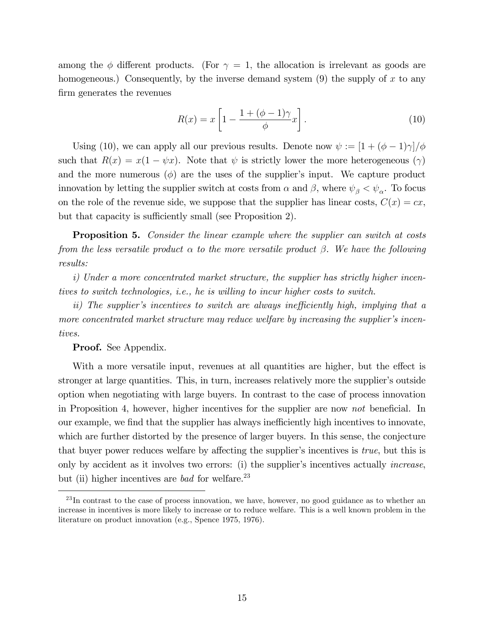among the  $\phi$  different products. (For  $\gamma = 1$ , the allocation is irrelevant as goods are homogeneous.) Consequently, by the inverse demand system  $(9)$  the supply of x to any firm generates the revenues

$$
R(x) = x \left[ 1 - \frac{1 + (\phi - 1)\gamma}{\phi} x \right].
$$
 (10)

Using (10), we can apply all our previous results. Denote now  $\psi := [1 + (\phi - 1)\gamma]/\phi$ such that  $R(x) = x(1 - \psi x)$ . Note that  $\psi$  is strictly lower the more heterogeneous  $(\gamma)$ and the more numerous  $(\phi)$  are the uses of the supplier's input. We capture product innovation by letting the supplier switch at costs from  $\alpha$  and  $\beta$ , where  $\psi_{\beta} < \psi_{\alpha}$ . To focus on the role of the revenue side, we suppose that the supplier has linear costs,  $C(x) = cx$ , but that capacity is sufficiently small (see Proposition 2).

**Proposition 5.** Consider the linear example where the supplier can switch at costs from the less versatile product  $\alpha$  to the more versatile product  $\beta$ . We have the following results:

i) Under a more concentrated market structure, the supplier has strictly higher incentives to switch technologies, i.e., he is willing to incur higher costs to switch.

ii) The supplier's incentives to switch are always inefficiently high, implying that a more concentrated market structure may reduce welfare by increasing the supplier's incentives.

#### Proof. See Appendix.

With a more versatile input, revenues at all quantities are higher, but the effect is stronger at large quantities. This, in turn, increases relatively more the supplier's outside option when negotiating with large buyers. In contrast to the case of process innovation in Proposition 4, however, higher incentives for the supplier are now not beneficial. In our example, we find that the supplier has always inefficiently high incentives to innovate, which are further distorted by the presence of larger buyers. In this sense, the conjecture that buyer power reduces welfare by affecting the supplier's incentives is *true*, but this is only by accident as it involves two errors: (i) the supplier's incentives actually *increase*, but (ii) higher incentives are *bad* for welfare.<sup>23</sup>

 $^{23}$ In contrast to the case of process innovation, we have, however, no good guidance as to whether an increase in incentives is more likely to increase or to reduce welfare. This is a well known problem in the literature on product innovation (e.g., Spence 1975, 1976).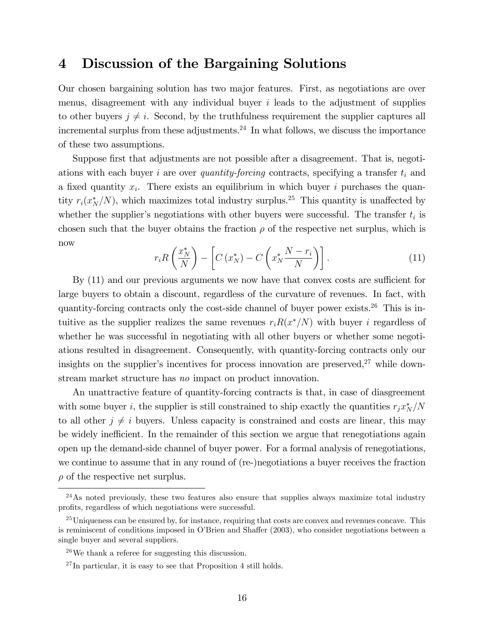## 4 Discussion of the Bargaining Solutions

Our chosen bargaining solution has two major features. First, as negotiations are over menus, disagreement with any individual buyer  $i$  leads to the adjustment of supplies to other buyers  $j \neq i$ . Second, by the truthfulness requirement the supplier captures all incremental surplus from these adjustments.<sup>24</sup> In what follows, we discuss the importance of these two assumptions.

Suppose first that adjustments are not possible after a disagreement. That is, negotiations with each buyer i are over quantity-forcing contracts, specifying a transfer  $t_i$  and a fixed quantity  $x_i$ . There exists an equilibrium in which buyer i purchases the quantity  $r_i(x_N^*/N)$ , which maximizes total industry surplus.<sup>25</sup> This quantity is unaffected by whether the supplier's negotiations with other buyers were successful. The transfer  $t_i$  is chosen such that the buyer obtains the fraction  $\rho$  of the respective net surplus, which is now

$$
r_i R\left(\frac{x_N^*}{N}\right) - \left[C\left(x_N^*\right) - C\left(x_N^* \frac{N - r_i}{N}\right)\right].\tag{11}
$$

By  $(11)$  and our previous arguments we now have that convex costs are sufficient for large buyers to obtain a discount, regardless of the curvature of revenues. In fact, with quantity-forcing contracts only the cost-side channel of buyer power exists.<sup>26</sup> This is intuitive as the supplier realizes the same revenues  $r_i R(x^*/N)$  with buyer i regardless of whether he was successful in negotiating with all other buyers or whether some negotiations resulted in disagreement. Consequently, with quantity-forcing contracts only our insights on the supplier's incentives for process innovation are preserved, $27$  while downstream market structure has no impact on product innovation.

An unattractive feature of quantity-forcing contracts is that, in case of diasgreement with some buyer *i*, the supplier is still constrained to ship exactly the quantities  $r_j x_N^*/N$ to all other  $j \neq i$  buyers. Unless capacity is constrained and costs are linear, this may be widely inefficient. In the remainder of this section we argue that renegotiations again open up the demand-side channel of buyer power. For a formal analysis of renegotiations, we continue to assume that in any round of (re-)negotiations a buyer receives the fraction  $\rho$  of the respective net surplus.

 $24$ As noted previously, these two features also ensure that supplies always maximize total industry profits, regardless of which negotiations were successful.

 $^{25}$ Uniqueness can be ensured by, for instance, requiring that costs are convex and revenues concave. This is reminiscent of conditions imposed in O'Brien and Shaffer (2003), who consider negotiations between a single buyer and several suppliers.

<sup>26</sup>We thank a referee for suggesting this discussion.

<sup>27</sup> In particular, it is easy to see that Proposition 4 still holds.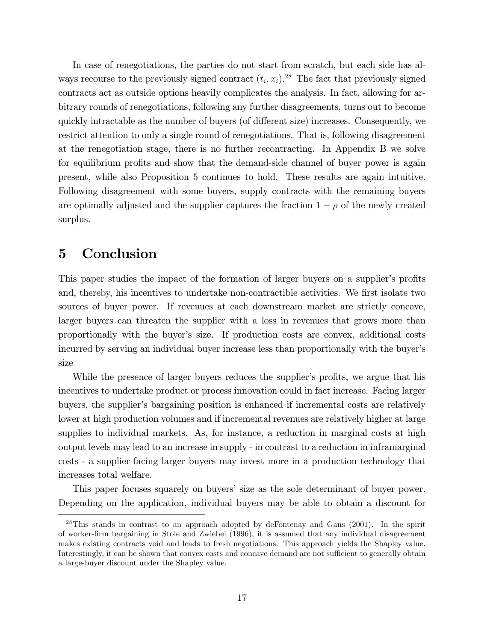In case of renegotiations, the parties do not start from scratch, but each side has always recourse to the previously signed contract  $(t_i, x_i)$ .<sup>28</sup> The fact that previously signed contracts act as outside options heavily complicates the analysis. In fact, allowing for arbitrary rounds of renegotiations, following any further disagreements, turns out to become quickly intractable as the number of buyers (of different size) increases. Consequently, we restrict attention to only a single round of renegotiations. That is, following disagreement at the renegotiation stage, there is no further recontracting. In Appendix B we solve for equilibrium profits and show that the demand-side channel of buyer power is again present, while also Proposition 5 continues to hold. These results are again intuitive. Following disagreement with some buyers, supply contracts with the remaining buyers are optimally adjusted and the supplier captures the fraction  $1 - \rho$  of the newly created surplus.

# 5 Conclusion

This paper studies the impact of the formation of larger buyers on a supplier's profits and, thereby, his incentives to undertake non-contractible activities. We first isolate two sources of buyer power. If revenues at each downstream market are strictly concave, larger buyers can threaten the supplier with a loss in revenues that grows more than proportionally with the buyerís size. If production costs are convex, additional costs incurred by serving an individual buyer increase less than proportionally with the buyer's size

While the presence of larger buyers reduces the supplier's profits, we argue that his incentives to undertake product or process innovation could in fact increase. Facing larger buyers, the supplier's bargaining position is enhanced if incremental costs are relatively lower at high production volumes and if incremental revenues are relatively higher at large supplies to individual markets. As, for instance, a reduction in marginal costs at high output levels may lead to an increase in supply - in contrast to a reduction in inframarginal costs - a supplier facing larger buyers may invest more in a production technology that increases total welfare.

This paper focuses squarely on buyers' size as the sole determinant of buyer power. Depending on the application, individual buyers may be able to obtain a discount for

 $^{28}$ This stands in contrast to an approach adopted by deFontenay and Gans (2001). In the spirit of worker-Örm bargaining in Stole and Zwiebel (1996), it is assumed that any individual disagreement makes existing contracts void and leads to fresh negotiations. This approach yields the Shapley value. Interestingly, it can be shown that convex costs and concave demand are not sufficient to generally obtain a large-buyer discount under the Shapley value.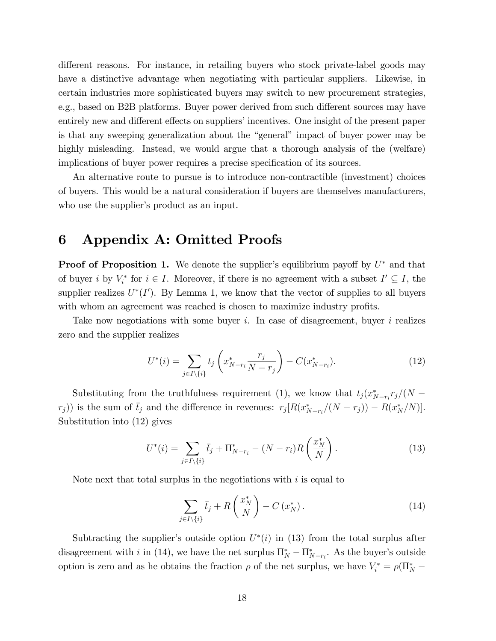different reasons. For instance, in retailing buyers who stock private-label goods may have a distinctive advantage when negotiating with particular suppliers. Likewise, in certain industries more sophisticated buyers may switch to new procurement strategies, e.g., based on B2B platforms. Buyer power derived from such different sources may have entirely new and different effects on suppliers' incentives. One insight of the present paper is that any sweeping generalization about the "general" impact of buyer power may be highly misleading. Instead, we would argue that a thorough analysis of the (welfare) implications of buyer power requires a precise specification of its sources.

An alternative route to pursue is to introduce non-contractible (investment) choices of buyers. This would be a natural consideration if buyers are themselves manufacturers, who use the supplier's product as an input.

# 6 Appendix A: Omitted Proofs

**Proof of Proposition 1.** We denote the supplier's equilibrium payoff by  $U^*$  and that of buyer i by  $V_i^*$  for  $i \in I$ . Moreover, if there is no agreement with a subset  $I' \subseteq I$ , the supplier realizes  $U^*(I')$ . By Lemma 1, we know that the vector of supplies to all buyers with whom an agreement was reached is chosen to maximize industry profits.

Take now negotiations with some buyer i. In case of disagreement, buyer i realizes zero and the supplier realizes

$$
U^*(i) = \sum_{j \in I \setminus \{i\}} t_j \left( x^*_{N-r_i} \frac{r_j}{N-r_j} \right) - C(x^*_{N-r_i}). \tag{12}
$$

Substituting from the truthfulness requirement (1), we know that  $t_j(x_{N-r_i}^*r_j/(N-r_i))$  $r_j$ ) is the sum of  $\bar{t}_j$  and the difference in revenues:  $r_j[R(x_{N-r_i}^*/(N-r_j))-R(x_N^*/N)].$ Substitution into (12) gives

$$
U^*(i) = \sum_{j \in I \setminus \{i\}} \bar{t}_j + \Pi^*_{N-r_i} - (N - r_i) R\left(\frac{x_N^*}{N}\right). \tag{13}
$$

Note next that total surplus in the negotiations with  $i$  is equal to

$$
\sum_{j\in I\setminus\{i\}}\bar{t}_j + R\left(\frac{x_N^*}{N}\right) - C\left(x_N^*\right). \tag{14}
$$

Subtracting the supplier's outside option  $U^*(i)$  in (13) from the total surplus after disagreement with *i* in (14), we have the net surplus  $\Pi_N^* - \Pi_{N-r_i}^*$ . As the buyer's outside option is zero and as he obtains the fraction  $\rho$  of the net surplus, we have  $V_i^* = \rho(\Pi_N^* -$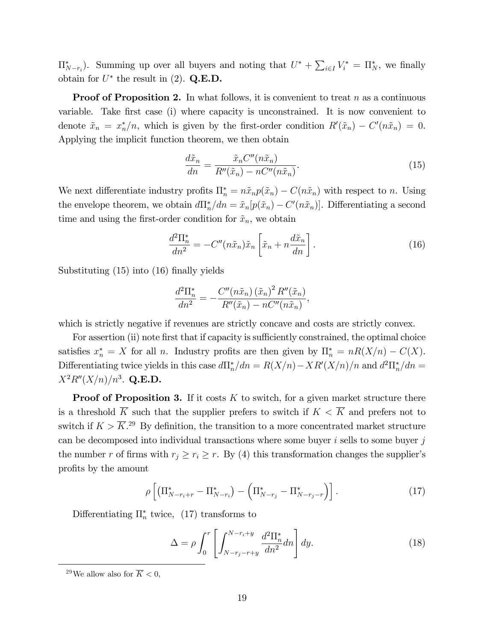$\Pi_{N-r_i}^*$ ). Summing up over all buyers and noting that  $U^* + \sum_{i \in I} V_i^* = \Pi_N^*$ , we finally obtain for  $U^*$  the result in (2). Q.E.D.

**Proof of Proposition 2.** In what follows, it is convenient to treat n as a continuous variable. Take first case (i) where capacity is unconstrained. It is now convenient to denote  $\tilde{x}_n = x_n^*/n$ , which is given by the first-order condition  $R'(\tilde{x}_n) - C'(n\tilde{x}_n) = 0$ . Applying the implicit function theorem, we then obtain

$$
\frac{d\tilde{x}_n}{dn} = \frac{\tilde{x}_n C''(n\tilde{x}_n)}{R''(\tilde{x}_n) - nC''(n\tilde{x}_n)}.
$$
\n(15)

We next differentiate industry profits  $\Pi_n^* = n\tilde{x}_n p(\tilde{x}_n) - C(n\tilde{x}_n)$  with respect to n. Using the envelope theorem, we obtain  $d\Pi_n^* / dn = \tilde{x}_n[p(\tilde{x}_n) - C'(n\tilde{x}_n)]$ . Differentiating a second time and using the first-order condition for  $\tilde{x}_n$ , we obtain

$$
\frac{d^2\Pi_n^*}{dn^2} = -C''(n\tilde{x}_n)\tilde{x}_n \left[\tilde{x}_n + n\frac{d\tilde{x}_n}{dn}\right].
$$
\n(16)

Substituting  $(15)$  into  $(16)$  finally yields

$$
\frac{d^2\Pi_n^*}{dn^2} = -\frac{C''(n\tilde{x}_n)\left(\tilde{x}_n\right)^2 R''(\tilde{x}_n)}{R''(\tilde{x}_n) - nC''(n\tilde{x}_n)},
$$

which is strictly negative if revenues are strictly concave and costs are strictly convex.

For assertion (ii) note first that if capacity is sufficiently constrained, the optimal choice satisfies  $x_n^* = X$  for all *n*. Industry profits are then given by  $\Pi_n^* = nR(X/n) - C(X)$ . Differentiating twice yields in this case  $d\Pi_n^* / dn = R(X/n) - XR'(X/n) / n$  and  $d^2\Pi_n^* / dn =$  $X^2R''(X/n)/n^3$ . Q.E.D.

**Proof of Proposition 3.** If it costs  $K$  to switch, for a given market structure there is a threshold  $\overline{K}$  such that the supplier prefers to switch if  $K < \overline{K}$  and prefers not to switch if  $K > \overline{K}$ <sup>29</sup> By definition, the transition to a more concentrated market structure can be decomposed into individual transactions where some buyer  $i$  sells to some buyer  $j$ the number r of firms with  $r_j \ge r_i \ge r$ . By (4) this transformation changes the supplier's profits by the amount

$$
\rho \left[ \left( \Pi_{N-r_i+r}^* - \Pi_{N-r_i}^* \right) - \left( \Pi_{N-r_j}^* - \Pi_{N-r_j-r}^* \right) \right]. \tag{17}
$$

Differentiating  $\Pi_n^*$  twice, (17) transforms to

$$
\Delta = \rho \int_0^r \left[ \int_{N-r_j-r+y}^{N-r_i+y} \frac{d^2 \Pi_n^*}{dn^2} dn \right] dy.
$$
 (18)

<sup>&</sup>lt;sup>29</sup>We allow also for  $\overline{K}$  < 0,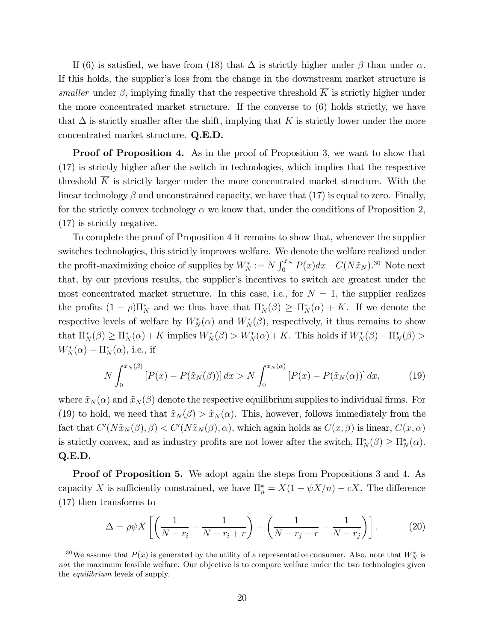If (6) is satisfied, we have from (18) that  $\Delta$  is strictly higher under  $\beta$  than under  $\alpha$ . If this holds, the supplier's loss from the change in the downstream market structure is smaller under  $\beta$ , implying finally that the respective threshold  $\overline{K}$  is strictly higher under the more concentrated market structure. If the converse to (6) holds strictly, we have that  $\Delta$  is strictly smaller after the shift, implying that  $\overline{K}$  is strictly lower under the more concentrated market structure. Q.E.D.

**Proof of Proposition 4.** As in the proof of Proposition 3, we want to show that (17) is strictly higher after the switch in technologies, which implies that the respective threshold  $\overline{K}$  is strictly larger under the more concentrated market structure. With the linear technology  $\beta$  and unconstrained capacity, we have that (17) is equal to zero. Finally, for the strictly convex technology  $\alpha$  we know that, under the conditions of Proposition 2, (17) is strictly negative.

To complete the proof of Proposition 4 it remains to show that, whenever the supplier switches technologies, this strictly improves welfare. We denote the welfare realized under the profit-maximizing choice of supplies by  $W_N^* := N \int_0^{\tilde{x}_N} P(x) dx - C(N\tilde{x}_N)^{30}$  Note next that, by our previous results, the supplier's incentives to switch are greatest under the most concentrated market structure. In this case, i.e., for  $N = 1$ , the supplier realizes the profits  $(1 - \rho)\Pi_N^*$  and we thus have that  $\Pi_N^*(\beta) \geq \Pi_N^*(\alpha) + K$ . If we denote the respective levels of welfare by  $W_N^*(\alpha)$  and  $W_N^*(\beta)$ , respectively, it thus remains to show that  $\Pi_N^*(\beta) \ge \Pi_N^*(\alpha) + K$  implies  $W_N^*(\beta) > W_N^*(\alpha) + K$ . This holds if  $W_N^*(\beta) - \Pi_N^*(\beta) >$  $W_N^*(\alpha) - \Pi_N^*(\alpha)$ , i.e., if

$$
N\int_0^{\tilde{x}_N(\beta)} \left[ P(x) - P(\tilde{x}_N(\beta)) \right] dx > N \int_0^{\tilde{x}_N(\alpha)} \left[ P(x) - P(\tilde{x}_N(\alpha)) \right] dx, \tag{19}
$$

where  $\tilde{x}_N(\alpha)$  and  $\tilde{x}_N(\beta)$  denote the respective equilibrium supplies to individual firms. For (19) to hold, we need that  $\tilde{x}_N(\beta) > \tilde{x}_N(\alpha)$ . This, however, follows immediately from the fact that  $C'(N\tilde{x}_N(\beta),\beta) < C'(N\tilde{x}_N(\beta),\alpha)$ , which again holds as  $C(x,\beta)$  is linear,  $C(x,\alpha)$ is strictly convex, and as industry profits are not lower after the switch,  $\Pi_N^*(\beta) \ge \Pi_N^*(\alpha)$ . Q.E.D.

Proof of Proposition 5. We adopt again the steps from Propositions 3 and 4. As capacity X is sufficiently constrained, we have  $\prod_{n=1}^{*} X(1 - \psi X/n) - cX$ . The difference (17) then transforms to

$$
\Delta = \rho \psi X \left[ \left( \frac{1}{N - r_i} - \frac{1}{N - r_i + r} \right) - \left( \frac{1}{N - r_j - r} - \frac{1}{N - r_j} \right) \right].
$$
 (20)

<sup>&</sup>lt;sup>30</sup>We assume that  $P(x)$  is generated by the utility of a representative consumer. Also, note that  $W_N^*$  is not the maximum feasible welfare. Our objective is to compare welfare under the two technologies given the equilibrium levels of supply.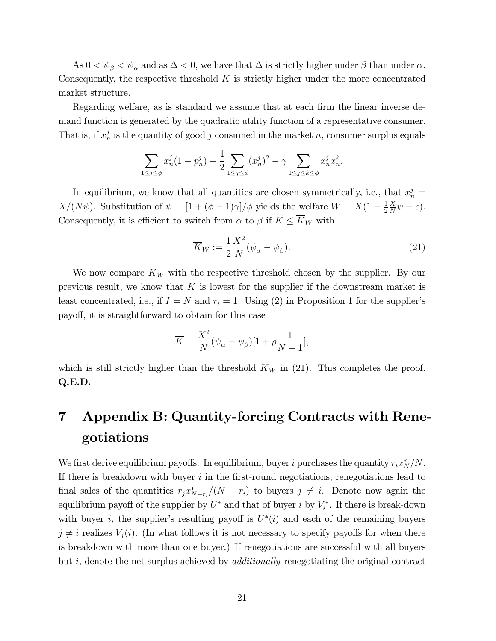As  $0 < \psi_{\beta} < \psi_{\alpha}$  and as  $\Delta < 0$ , we have that  $\Delta$  is strictly higher under  $\beta$  than under  $\alpha$ . Consequently, the respective threshold  $\overline{K}$  is strictly higher under the more concentrated market structure.

Regarding welfare, as is standard we assume that at each firm the linear inverse demand function is generated by the quadratic utility function of a representative consumer. That is, if  $x_n^j$  is the quantity of good j consumed in the market n, consumer surplus equals

$$
\sum_{1 \le j \le \phi} x_n^j (1 - p_n^j) - \frac{1}{2} \sum_{1 \le j \le \phi} (x_n^j)^2 - \gamma \sum_{1 \le j \le k \le \phi} x_n^j x_n^k.
$$

In equilibrium, we know that all quantities are chosen symmetrically, i.e., that  $x_n^j =$  $X/(N\psi)$ . Substitution of  $\psi = [1 + (\phi - 1)\gamma]/\phi$  yields the welfare  $W = X(1 - \frac{1}{2})$ 2  $\overline{X}$  $\frac{X}{N}\psi-c$ . Consequently, it is efficient to switch from  $\alpha$  to  $\beta$  if  $K \leq \overline{K}_W$  with

$$
\overline{K}_W := \frac{1}{2} \frac{X^2}{N} (\psi_\alpha - \psi_\beta). \tag{21}
$$

We now compare  $\overline{K}_W$  with the respective threshold chosen by the supplier. By our previous result, we know that  $\overline{K}$  is lowest for the supplier if the downstream market is least concentrated, i.e., if  $I = N$  and  $r_i = 1$ . Using (2) in Proposition 1 for the supplier's payoff, it is straightforward to obtain for this case

$$
\overline{K} = \frac{X^2}{N} (\psi_\alpha - \psi_\beta)[1 + \rho \frac{1}{N-1}],
$$

which is still strictly higher than the threshold  $\overline{K}_W$  in (21). This completes the proof. Q.E.D.

# 7 Appendix B: Quantity-forcing Contracts with Renegotiations

We first derive equilibrium payoffs. In equilibrium, buyer i purchases the quantity  $r_i x_N^*/N$ . If there is breakdown with buyer  $i$  in the first-round negotiations, renegotiations lead to final sales of the quantities  $r_j x_{N-r_i}^* / (N - r_i)$  to buyers  $j \neq i$ . Denote now again the equilibrium payoff of the supplier by  $U^*$  and that of buyer i by  $V_i^*$ . If there is break-down with buyer *i*, the supplier's resulting payoff is  $U^*(i)$  and each of the remaining buyers  $j \neq i$  realizes  $V_i(i)$ . (In what follows it is not necessary to specify payoffs for when there is breakdown with more than one buyer.) If renegotiations are successful with all buyers but i, denote the net surplus achieved by additionally renegotiating the original contract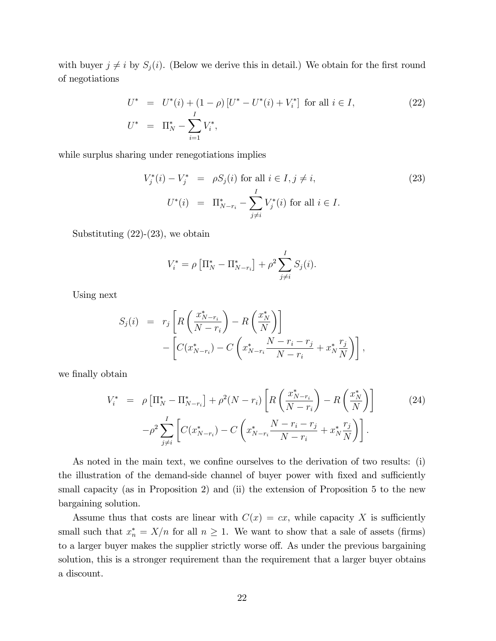with buyer  $j \neq i$  by  $S_j(i)$ . (Below we derive this in detail.) We obtain for the first round of negotiations

$$
U^* = U^*(i) + (1 - \rho) [U^* - U^*(i) + V_i^*] \text{ for all } i \in I,
$$
  
\n
$$
U^* = \Pi_N^* - \sum_{i=1}^I V_i^*,
$$
\n(22)

while surplus sharing under renegotiations implies

$$
V_j^*(i) - V_j^* = \rho S_j(i) \text{ for all } i \in I, j \neq i,
$$
  
\n
$$
U^*(i) = \Pi_{N-r_i}^* - \sum_{j \neq i}^I V_j^*(i) \text{ for all } i \in I.
$$
\n(23)

Substituting  $(22)-(23)$ , we obtain

$$
V_i^* = \rho \left[ \Pi_N^* - \Pi_{N-r_i}^* \right] + \rho^2 \sum_{j \neq i}^I S_j(i).
$$

Using next

$$
S_j(i) = r_j \left[ R \left( \frac{x_{N-r_i}^*}{N-r_i} \right) - R \left( \frac{x_N^*}{N} \right) \right] - \left[ C(x_{N-r_i}^*) - C \left( x_{N-r_i}^* \frac{N-r_i-r_j}{N-r_i} + x_N^* \frac{r_j}{N} \right) \right],
$$

we finally obtain

$$
V_i^* = \rho \left[ \Pi_N^* - \Pi_{N-r_i}^* \right] + \rho^2 (N - r_i) \left[ R \left( \frac{x_{N-r_i}^*}{N - r_i} \right) - R \left( \frac{x_N^*}{N} \right) \right]
$$
(24)  

$$
- \rho^2 \sum_{j \neq i}^I \left[ C(x_{N-r_i}^*) - C \left( x_{N-r_i}^* \frac{N - r_i - r_j}{N - r_i} + x_N^* \frac{r_j}{N} \right) \right].
$$

As noted in the main text, we confine ourselves to the derivation of two results: (i) the illustration of the demand-side channel of buyer power with fixed and sufficiently small capacity (as in Proposition 2) and (ii) the extension of Proposition 5 to the new bargaining solution.

Assume thus that costs are linear with  $C(x) = cx$ , while capacity X is sufficiently small such that  $x_n^* = X/n$  for all  $n \ge 1$ . We want to show that a sale of assets (firms) to a larger buyer makes the supplier strictly worse off. As under the previous bargaining solution, this is a stronger requirement than the requirement that a larger buyer obtains a discount.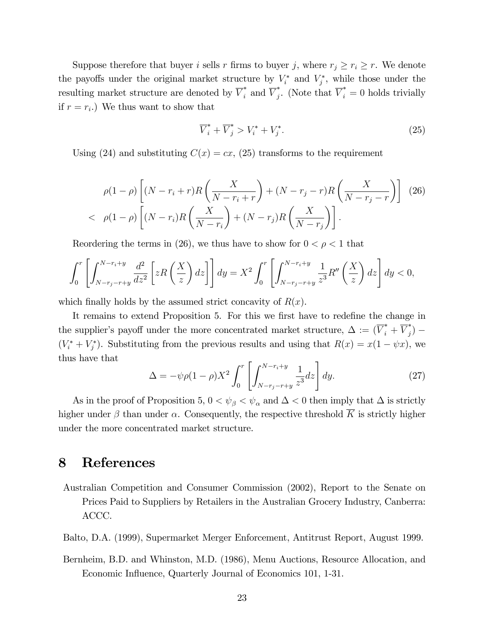Suppose therefore that buyer i sells r firms to buyer j, where  $r_j \ge r_i \ge r$ . We denote the payoffs under the original market structure by  $V_i^*$  and  $V_j^*$ , while those under the resulting market structure are denoted by  $\overline{V}_i^*$  and  $\overline{V}_j^*$ . (Note that  $\overline{V}_i^* = 0$  holds trivially if  $r = r_i$ .) We thus want to show that

$$
\overline{V}_i^* + \overline{V}_j^* > V_i^* + V_j^*.
$$
\n
$$
(25)
$$

Using (24) and substituting  $C(x) = cx$ , (25) transforms to the requirement

$$
\rho(1-\rho)\left[(N-r_i+r)R\left(\frac{X}{N-r_i+r}\right)+(N-r_j-r)R\left(\frac{X}{N-r_j-r}\right)\right]
$$
 (26)  

$$
\rho(1-\rho)\left[(N-r_i)R\left(\frac{X}{N-r_i}\right)+(N-r_j)R\left(\frac{X}{N-r_j}\right)\right].
$$

Reordering the terms in (26), we thus have to show for  $0 < \rho < 1$  that

$$
\int_0^r \left[ \int_{N-r_j-r+y}^{N-r_i+y} \frac{d^2}{dz^2} \left[ zR\left(\frac{X}{z}\right) dz \right] \right] dy = X^2 \int_0^r \left[ \int_{N-r_j-r+y}^{N-r_i+y} \frac{1}{z^3} R''\left(\frac{X}{z}\right) dz \right] dy < 0,
$$

which finally holds by the assumed strict concavity of  $R(x)$ .

It remains to extend Proposition 5. For this we first have to redefine the change in the supplier's payoff under the more concentrated market structure,  $\Delta := (\overline{V}_i^* + \overline{V}_j^*)$  $(V_i^* + V_j^*)$ . Substituting from the previous results and using that  $R(x) = x(1 - \psi x)$ , we thus have that

$$
\Delta = -\psi \rho (1 - \rho) X^2 \int_0^r \left[ \int_{N - r_j - r + y}^{N - r_i + y} \frac{1}{z^3} dz \right] dy.
$$
 (27)

As in the proof of Proposition 5,  $0 < \psi_{\beta} < \psi_{\alpha}$  and  $\Delta < 0$  then imply that  $\Delta$  is strictly higher under  $\beta$  than under  $\alpha$ . Consequently, the respective threshold  $\overline{K}$  is strictly higher under the more concentrated market structure.

## 8 References

- Australian Competition and Consumer Commission (2002), Report to the Senate on Prices Paid to Suppliers by Retailers in the Australian Grocery Industry, Canberra: ACCC.
- Balto, D.A. (1999), Supermarket Merger Enforcement, Antitrust Report, August 1999.
- Bernheim, B.D. and Whinston, M.D. (1986), Menu Auctions, Resource Allocation, and Economic Influence, Quarterly Journal of Economics 101, 1-31.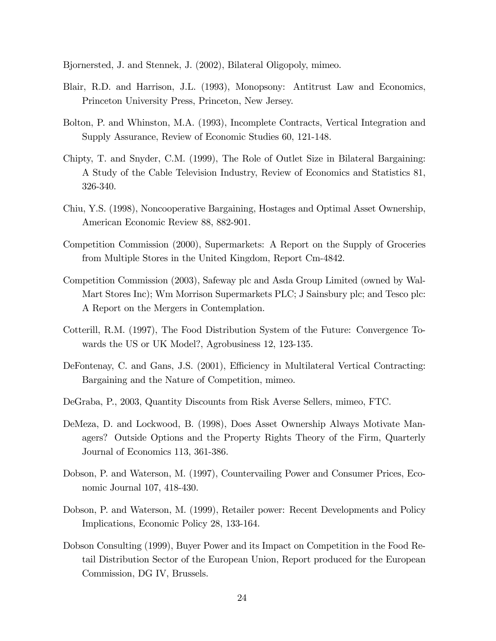Bjornersted, J. and Stennek, J. (2002), Bilateral Oligopoly, mimeo.

- Blair, R.D. and Harrison, J.L. (1993), Monopsony: Antitrust Law and Economics, Princeton University Press, Princeton, New Jersey.
- Bolton, P. and Whinston, M.A. (1993), Incomplete Contracts, Vertical Integration and Supply Assurance, Review of Economic Studies 60, 121-148.
- Chipty, T. and Snyder, C.M. (1999), The Role of Outlet Size in Bilateral Bargaining: A Study of the Cable Television Industry, Review of Economics and Statistics 81, 326-340.
- Chiu, Y.S. (1998), Noncooperative Bargaining, Hostages and Optimal Asset Ownership, American Economic Review 88, 882-901.
- Competition Commission (2000), Supermarkets: A Report on the Supply of Groceries from Multiple Stores in the United Kingdom, Report Cm-4842.
- Competition Commission (2003), Safeway plc and Asda Group Limited (owned by Wal-Mart Stores Inc); Wm Morrison Supermarkets PLC; J Sainsbury plc; and Tesco plc: A Report on the Mergers in Contemplation.
- Cotterill, R.M. (1997), The Food Distribution System of the Future: Convergence Towards the US or UK Model?, Agrobusiness 12, 123-135.
- DeFontenay, C. and Gans, J.S. (2001), Efficiency in Multilateral Vertical Contracting: Bargaining and the Nature of Competition, mimeo.
- DeGraba, P., 2003, Quantity Discounts from Risk Averse Sellers, mimeo, FTC.
- DeMeza, D. and Lockwood, B. (1998), Does Asset Ownership Always Motivate Managers? Outside Options and the Property Rights Theory of the Firm, Quarterly Journal of Economics 113, 361-386.
- Dobson, P. and Waterson, M. (1997), Countervailing Power and Consumer Prices, Economic Journal 107, 418-430.
- Dobson, P. and Waterson, M. (1999), Retailer power: Recent Developments and Policy Implications, Economic Policy 28, 133-164.
- Dobson Consulting (1999), Buyer Power and its Impact on Competition in the Food Retail Distribution Sector of the European Union, Report produced for the European Commission, DG IV, Brussels.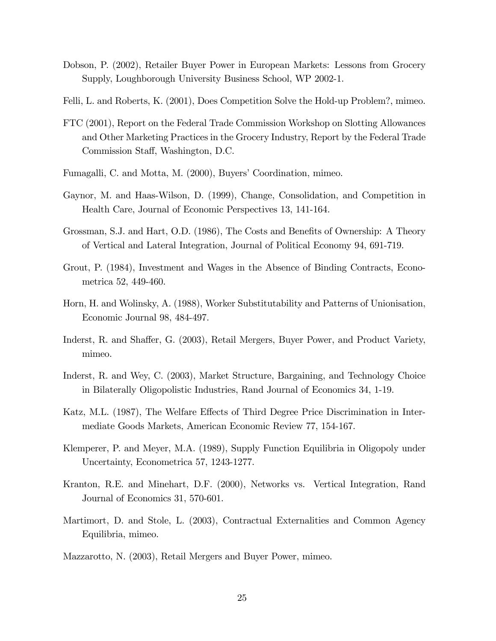- Dobson, P. (2002), Retailer Buyer Power in European Markets: Lessons from Grocery Supply, Loughborough University Business School, WP 2002-1.
- Felli, L. and Roberts, K. (2001), Does Competition Solve the Hold-up Problem?, mimeo.
- FTC (2001), Report on the Federal Trade Commission Workshop on Slotting Allowances and Other Marketing Practices in the Grocery Industry, Report by the Federal Trade Commission Staff, Washington, D.C.
- Fumagalli, C. and Motta, M. (2000), Buyers' Coordination, mimeo.
- Gaynor, M. and Haas-Wilson, D. (1999), Change, Consolidation, and Competition in Health Care, Journal of Economic Perspectives 13, 141-164.
- Grossman, S.J. and Hart, O.D. (1986), The Costs and Benefits of Ownership: A Theory of Vertical and Lateral Integration, Journal of Political Economy 94, 691-719.
- Grout, P. (1984), Investment and Wages in the Absence of Binding Contracts, Econometrica 52, 449-460.
- Horn, H. and Wolinsky, A. (1988), Worker Substitutability and Patterns of Unionisation, Economic Journal 98, 484-497.
- Inderst, R. and Shaffer, G. (2003), Retail Mergers, Buyer Power, and Product Variety, mimeo.
- Inderst, R. and Wey, C. (2003), Market Structure, Bargaining, and Technology Choice in Bilaterally Oligopolistic Industries, Rand Journal of Economics 34, 1-19.
- Katz, M.L. (1987), The Welfare Effects of Third Degree Price Discrimination in Intermediate Goods Markets, American Economic Review 77, 154-167.
- Klemperer, P. and Meyer, M.A. (1989), Supply Function Equilibria in Oligopoly under Uncertainty, Econometrica 57, 1243-1277.
- Kranton, R.E. and Minehart, D.F. (2000), Networks vs. Vertical Integration, Rand Journal of Economics 31, 570-601.
- Martimort, D. and Stole, L. (2003), Contractual Externalities and Common Agency Equilibria, mimeo.
- Mazzarotto, N. (2003), Retail Mergers and Buyer Power, mimeo.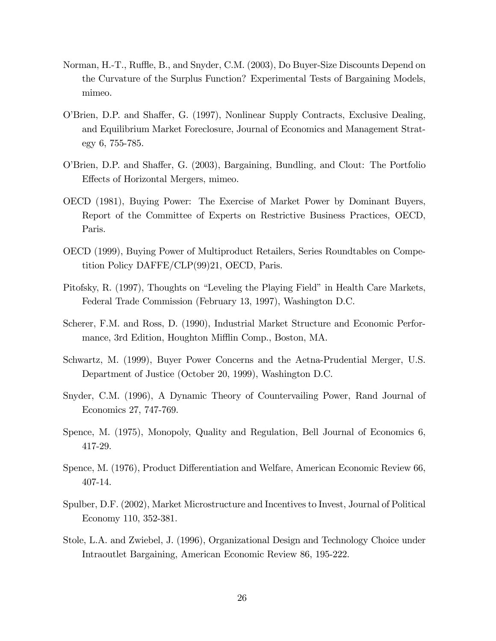- Norman, H.-T., Ruffle, B., and Snyder, C.M. (2003), Do Buyer-Size Discounts Depend on the Curvature of the Surplus Function? Experimental Tests of Bargaining Models, mimeo.
- O'Brien, D.P. and Shaffer, G. (1997), Nonlinear Supply Contracts, Exclusive Dealing, and Equilibrium Market Foreclosure, Journal of Economics and Management Strategy 6, 755-785.
- O'Brien, D.P. and Shaffer, G. (2003), Bargaining, Bundling, and Clout: The Portfolio Effects of Horizontal Mergers, mimeo.
- OECD (1981), Buying Power: The Exercise of Market Power by Dominant Buyers, Report of the Committee of Experts on Restrictive Business Practices, OECD, Paris.
- OECD (1999), Buying Power of Multiproduct Retailers, Series Roundtables on Competition Policy DAFFE/CLP(99)21, OECD, Paris.
- Pitofsky, R. (1997), Thoughts on "Leveling the Playing Field" in Health Care Markets, Federal Trade Commission (February 13, 1997), Washington D.C.
- Scherer, F.M. and Ross, D. (1990), Industrial Market Structure and Economic Performance, 3rd Edition, Houghton Mifflin Comp., Boston, MA.
- Schwartz, M. (1999), Buyer Power Concerns and the Aetna-Prudential Merger, U.S. Department of Justice (October 20, 1999), Washington D.C.
- Snyder, C.M. (1996), A Dynamic Theory of Countervailing Power, Rand Journal of Economics 27, 747-769.
- Spence, M. (1975), Monopoly, Quality and Regulation, Bell Journal of Economics 6, 417-29.
- Spence, M. (1976), Product Differentiation and Welfare, American Economic Review 66, 407-14.
- Spulber, D.F. (2002), Market Microstructure and Incentives to Invest, Journal of Political Economy 110, 352-381.
- Stole, L.A. and Zwiebel, J. (1996), Organizational Design and Technology Choice under Intraoutlet Bargaining, American Economic Review 86, 195-222.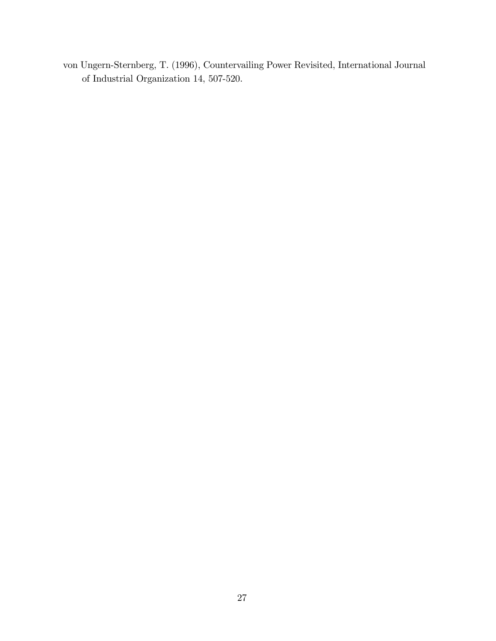von Ungern-Sternberg, T. (1996), Countervailing Power Revisited, International Journal of Industrial Organization 14, 507-520.